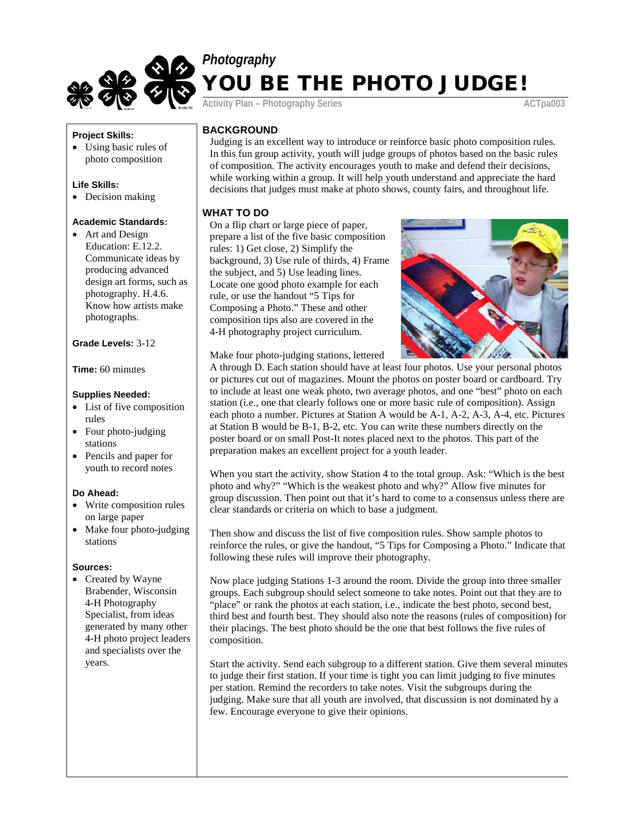

# *Photography* YOU BE THE PHOTO JUDGE!

Activity Plan – Photography Series **ACTpa003** 

# **Project Skills:**

• Using basic rules of photo composition

## **Life Skills:**

• Decision making

## **Academic Standards:**

• Art and Design Education: E.12.2. Communicate ideas by producing advanced design art forms, such as photography. H.4.6. Know how artists make photographs.

## **Grade Levels:** 3-12

**Time:** 60 minutes

#### **Supplies Needed:**

- List of five composition rules
- Four photo-judging stations
- Pencils and paper for youth to record notes

# **Do Ahead:**

- Write composition rules on large paper
- Make four photo-judging stations

#### **Sources:**

• Created by Wayne Brabender, Wisconsin 4-H Photography Specialist, from ideas generated by many other 4-H photo project leaders and specialists over the years.

# **BACKGROUND**

Judging is an excellent way to introduce or reinforce basic photo composition rules. In this fun group activity, youth will judge groups of photos based on the basic rules of composition. The activity encourages youth to make and defend their decisions, while working within a group. It will help youth understand and appreciate the hard decisions that judges must make at photo shows, county fairs, and throughout life.

# **WHAT TO DO**

On a flip chart or large piece of paper, prepare a list of the five basic composition rules: 1) Get close, 2) Simplify the background, 3) Use rule of thirds, 4) Frame the subject, and 5) Use leading lines. Locate one good photo example for each rule, or use the handout "5 Tips for Composing a Photo." These and other composition tips also are covered in the 4-H photography project curriculum.



Make four photo-judging stations, lettered

A through D. Each station should have at least four photos. Use your personal photos or pictures cut out of magazines. Mount the photos on poster board or cardboard. Try to include at least one weak photo, two average photos, and one "best" photo on each station (i.e., one that clearly follows one or more basic rule of composition). Assign each photo a number. Pictures at Station A would be A-1, A-2, A-3, A-4, etc. Pictures at Station B would be B-1, B-2, etc. You can write these numbers directly on the poster board or on small Post-It notes placed next to the photos. This part of the preparation makes an excellent project for a youth leader.

When you start the activity, show Station 4 to the total group. Ask: "Which is the best photo and why?" "Which is the weakest photo and why?" Allow five minutes for group discussion. Then point out that it's hard to come to a consensus unless there are clear standards or criteria on which to base a judgment.

Then show and discuss the list of five composition rules. Show sample photos to reinforce the rules, or give the handout, "5 Tips for Composing a Photo." Indicate that following these rules will improve their photography.

Now place judging Stations 1-3 around the room. Divide the group into three smaller groups. Each subgroup should select someone to take notes. Point out that they are to "place" or rank the photos at each station, i.e., indicate the best photo, second best, third best and fourth best. They should also note the reasons (rules of composition) for their placings. The best photo should be the one that best follows the five rules of composition.

Start the activity. Send each subgroup to a different station. Give them several minutes to judge their first station. If your time is tight you can limit judging to five minutes per station. Remind the recorders to take notes. Visit the subgroups during the judging. Make sure that all youth are involved, that discussion is not dominated by a few. Encourage everyone to give their opinions.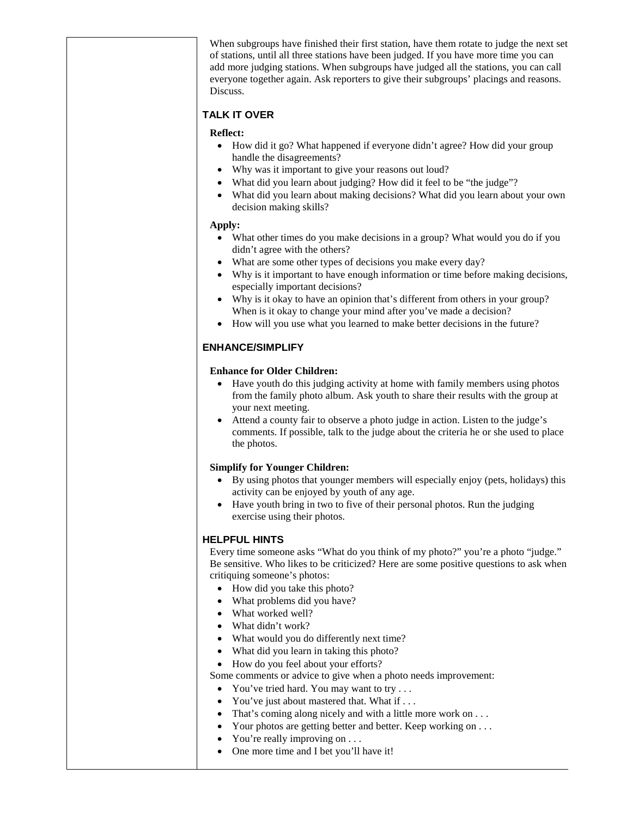When subgroups have finished their first station, have them rotate to judge the next set of stations, until all three stations have been judged. If you have more time you can add more judging stations. When subgroups have judged all the stations, you can call everyone together again. Ask reporters to give their subgroups' placings and reasons. Discuss.

# **TALK IT OVER**

# **Reflect:**

- How did it go? What happened if everyone didn't agree? How did your group handle the disagreements?
- Why was it important to give your reasons out loud?
- What did you learn about judging? How did it feel to be "the judge"?
- What did you learn about making decisions? What did you learn about your own decision making skills?

## **Apply:**

- What other times do you make decisions in a group? What would you do if you didn't agree with the others?
- What are some other types of decisions you make every day?
- Why is it important to have enough information or time before making decisions, especially important decisions?
- Why is it okay to have an opinion that's different from others in your group? When is it okay to change your mind after you've made a decision?
- How will you use what you learned to make better decisions in the future?

# **ENHANCE/SIMPLIFY**

## **Enhance for Older Children:**

- Have youth do this judging activity at home with family members using photos from the family photo album. Ask youth to share their results with the group at your next meeting.
- Attend a county fair to observe a photo judge in action. Listen to the judge's comments. If possible, talk to the judge about the criteria he or she used to place the photos.

# **Simplify for Younger Children:**

- By using photos that younger members will especially enjoy (pets, holidays) this activity can be enjoyed by youth of any age.
- Have youth bring in two to five of their personal photos. Run the judging exercise using their photos.

# **HELPFUL HINTS**

Every time someone asks "What do you think of my photo?" you're a photo "judge." Be sensitive. Who likes to be criticized? Here are some positive questions to ask when critiquing someone's photos:

- How did you take this photo?
- What problems did you have?
- What worked well?
- What didn't work?
- What would you do differently next time?
- What did you learn in taking this photo?
- How do you feel about your efforts?

Some comments or advice to give when a photo needs improvement:

- You've tried hard. You may want to try . . .
- You've just about mastered that. What if . . .
- That's coming along nicely and with a little more work on . . .
- Your photos are getting better and better. Keep working on ...
- You're really improving on . . .
- One more time and I bet you'll have it!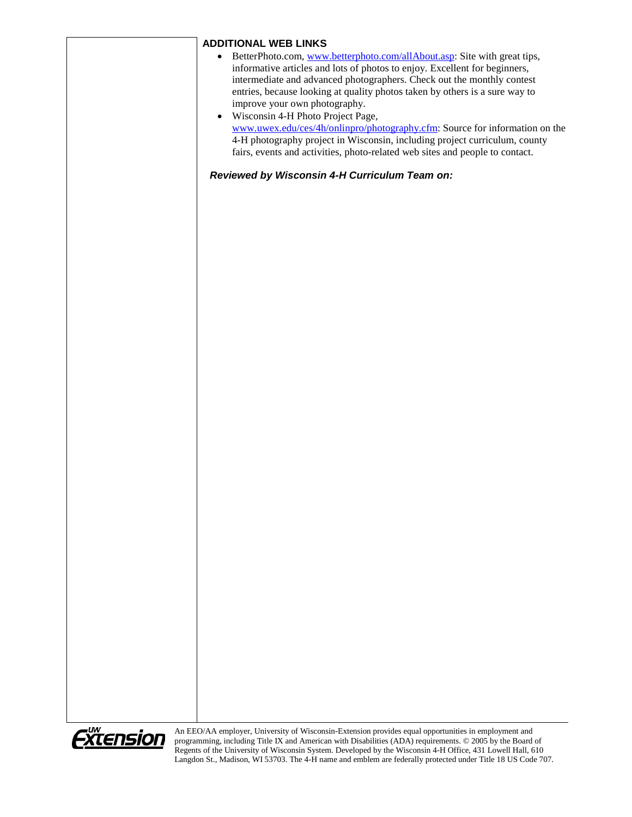# **ADDITIONAL WEB LINKS**

- BetterPhoto.com, www.betterphoto.com/allAbout.asp: Site with great tips, informative articles and lots of photos to enjoy. Excellent for beginners, intermediate and advanced photographers. Check out the monthly contest entries, because looking at quality photos taken by others is a sure way to improve your own photography.
- Wisconsin 4-H Photo Project Page, www.uwex.edu/ces/4h/onlinpro/photography.cfm: Source for information on the 4-H photography project in Wisconsin, including project curriculum, county fairs, events and activities, photo-related web sites and people to contact.

*Reviewed by Wisconsin 4-H Curriculum Team on:*



An EEO/AA employer, University of Wisconsin-Extension provides equal opportunities in employment and programming, including Title IX and American with Disabilities (ADA) requirements. © 2005 by the Board of Regents of the University of Wisconsin System. Developed by the Wisconsin 4-H Office, 431 Lowell Hall, 610 Langdon St., Madison, WI 53703. The 4-H name and emblem are federally protected under Title 18 US Code 707.